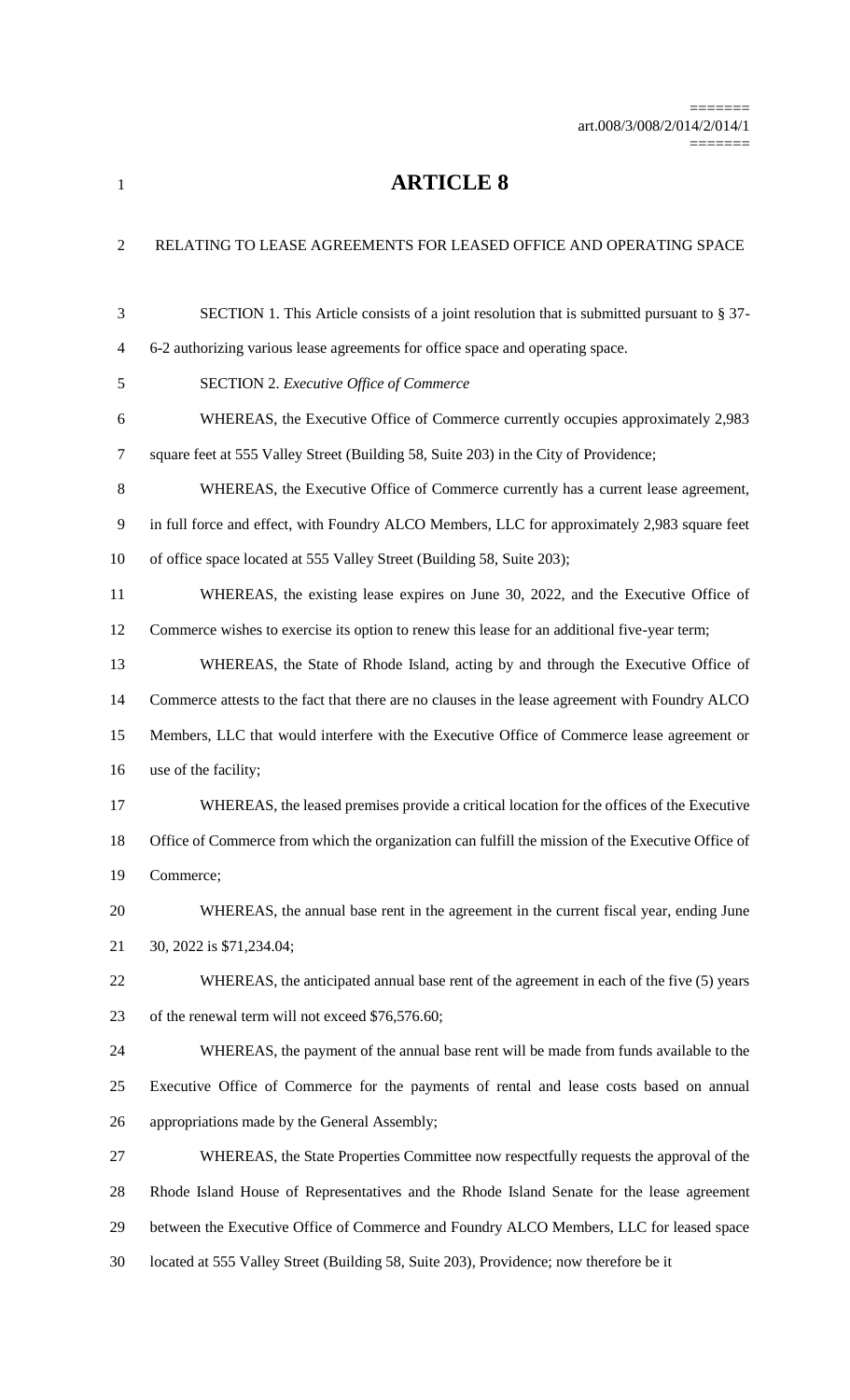=======

## **ARTICLE 8**

| $\overline{2}$ | RELATING TO LEASE AGREEMENTS FOR LEASED OFFICE AND OPERATING SPACE                                |
|----------------|---------------------------------------------------------------------------------------------------|
| 3              | SECTION 1. This Article consists of a joint resolution that is submitted pursuant to § 37-        |
| 4              | 6-2 authorizing various lease agreements for office space and operating space.                    |
| 5              | <b>SECTION 2. Executive Office of Commerce</b>                                                    |
| 6              | WHEREAS, the Executive Office of Commerce currently occupies approximately 2,983                  |
| 7              | square feet at 555 Valley Street (Building 58, Suite 203) in the City of Providence;              |
| 8              | WHEREAS, the Executive Office of Commerce currently has a current lease agreement,                |
| 9              | in full force and effect, with Foundry ALCO Members, LLC for approximately 2,983 square feet      |
| 10             | of office space located at 555 Valley Street (Building 58, Suite 203);                            |
| 11             | WHEREAS, the existing lease expires on June 30, 2022, and the Executive Office of                 |
| 12             | Commerce wishes to exercise its option to renew this lease for an additional five-year term;      |
| 13             | WHEREAS, the State of Rhode Island, acting by and through the Executive Office of                 |
| 14             | Commerce attests to the fact that there are no clauses in the lease agreement with Foundry ALCO   |
| 15             | Members, LLC that would interfere with the Executive Office of Commerce lease agreement or        |
| 16             | use of the facility;                                                                              |
| 17             | WHEREAS, the leased premises provide a critical location for the offices of the Executive         |
| 18             | Office of Commerce from which the organization can fulfill the mission of the Executive Office of |
| 19             | Commerce;                                                                                         |
| 20             | WHEREAS, the annual base rent in the agreement in the current fiscal year, ending June            |
| 21             | 30, 2022 is \$71,234.04;                                                                          |
| 22             | WHEREAS, the anticipated annual base rent of the agreement in each of the five (5) years          |
| 23             | of the renewal term will not exceed \$76,576.60;                                                  |
| 24             | WHEREAS, the payment of the annual base rent will be made from funds available to the             |
| 25             | Executive Office of Commerce for the payments of rental and lease costs based on annual           |
| 26             | appropriations made by the General Assembly;                                                      |
| 27             | WHEREAS, the State Properties Committee now respectfully requests the approval of the             |
| 28             | Rhode Island House of Representatives and the Rhode Island Senate for the lease agreement         |
| 29             | between the Executive Office of Commerce and Foundry ALCO Members, LLC for leased space           |
| 30             | located at 555 Valley Street (Building 58, Suite 203), Providence; now therefore be it            |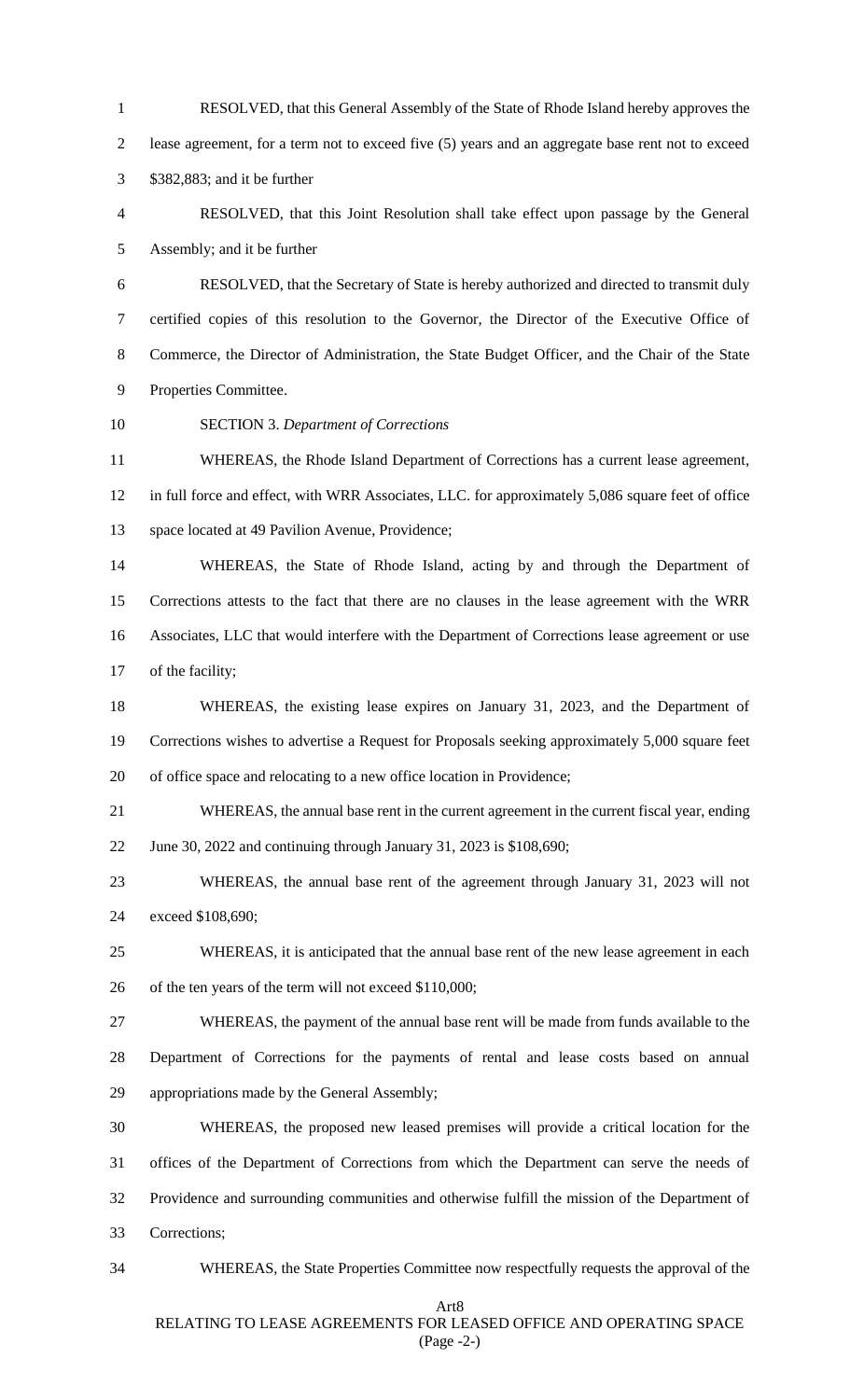RESOLVED, that this General Assembly of the State of Rhode Island hereby approves the lease agreement, for a term not to exceed five (5) years and an aggregate base rent not to exceed \$382,883; and it be further RESOLVED, that this Joint Resolution shall take effect upon passage by the General Assembly; and it be further RESOLVED, that the Secretary of State is hereby authorized and directed to transmit duly certified copies of this resolution to the Governor, the Director of the Executive Office of Commerce, the Director of Administration, the State Budget Officer, and the Chair of the State Properties Committee. SECTION 3. *Department of Corrections* WHEREAS, the Rhode Island Department of Corrections has a current lease agreement, in full force and effect, with WRR Associates, LLC. for approximately 5,086 square feet of office space located at 49 Pavilion Avenue, Providence; WHEREAS, the State of Rhode Island, acting by and through the Department of Corrections attests to the fact that there are no clauses in the lease agreement with the WRR Associates, LLC that would interfere with the Department of Corrections lease agreement or use 17 of the facility; WHEREAS, the existing lease expires on January 31, 2023, and the Department of Corrections wishes to advertise a Request for Proposals seeking approximately 5,000 square feet of office space and relocating to a new office location in Providence; WHEREAS, the annual base rent in the current agreement in the current fiscal year, ending June 30, 2022 and continuing through January 31, 2023 is \$108,690; WHEREAS, the annual base rent of the agreement through January 31, 2023 will not exceed \$108,690; WHEREAS, it is anticipated that the annual base rent of the new lease agreement in each of the ten years of the term will not exceed \$110,000; WHEREAS, the payment of the annual base rent will be made from funds available to the Department of Corrections for the payments of rental and lease costs based on annual appropriations made by the General Assembly; WHEREAS, the proposed new leased premises will provide a critical location for the offices of the Department of Corrections from which the Department can serve the needs of Providence and surrounding communities and otherwise fulfill the mission of the Department of Corrections; WHEREAS, the State Properties Committee now respectfully requests the approval of the

Art8

## RELATING TO LEASE AGREEMENTS FOR LEASED OFFICE AND OPERATING SPACE (Page -2-)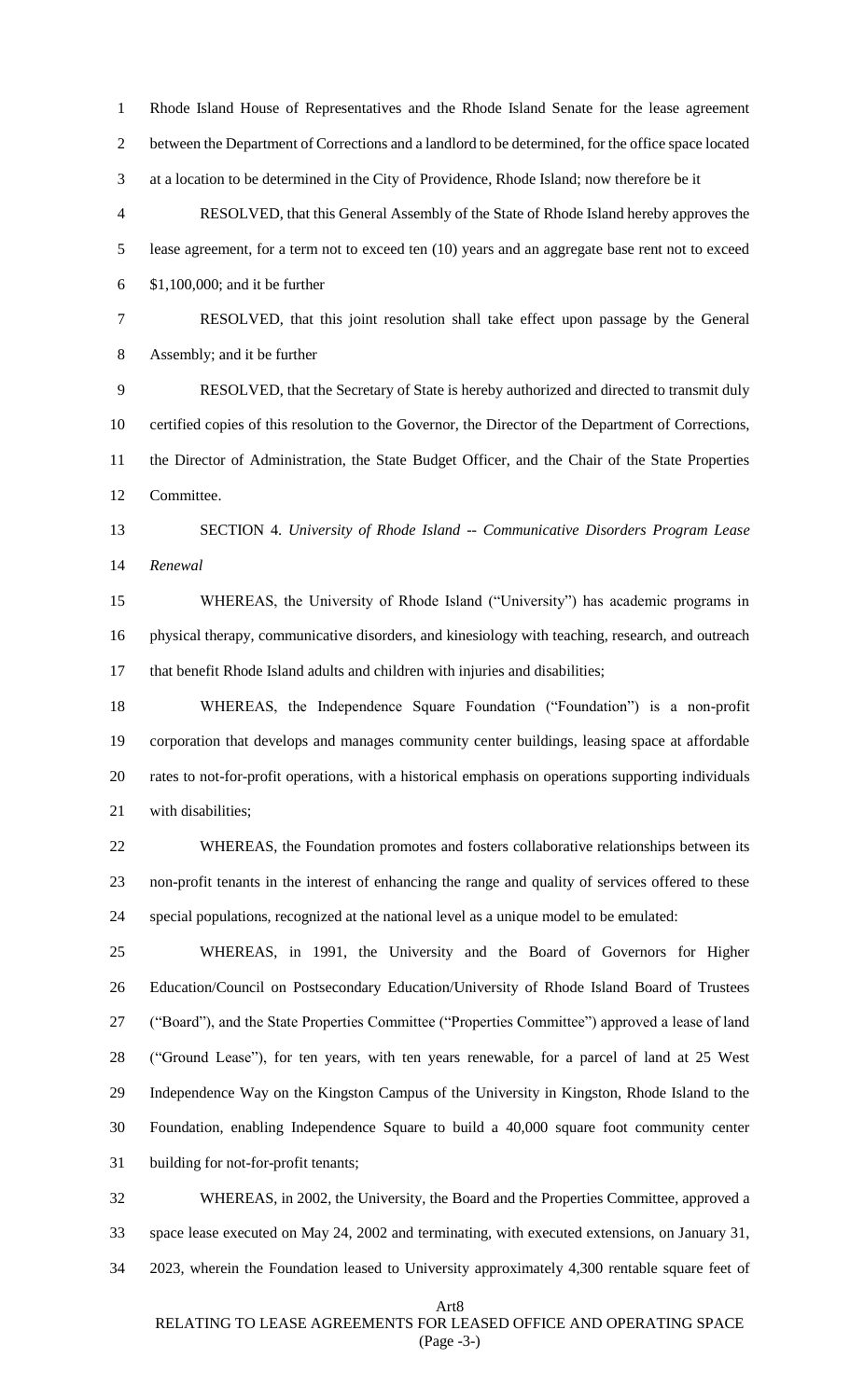Rhode Island House of Representatives and the Rhode Island Senate for the lease agreement between the Department of Corrections and a landlord to be determined, for the office space located at a location to be determined in the City of Providence, Rhode Island; now therefore be it RESOLVED, that this General Assembly of the State of Rhode Island hereby approves the lease agreement, for a term not to exceed ten (10) years and an aggregate base rent not to exceed \$1,100,000; and it be further RESOLVED, that this joint resolution shall take effect upon passage by the General Assembly; and it be further RESOLVED, that the Secretary of State is hereby authorized and directed to transmit duly certified copies of this resolution to the Governor, the Director of the Department of Corrections, the Director of Administration, the State Budget Officer, and the Chair of the State Properties Committee. SECTION 4. *University of Rhode Island -- Communicative Disorders Program Lease Renewal* WHEREAS, the University of Rhode Island ("University") has academic programs in physical therapy, communicative disorders, and kinesiology with teaching, research, and outreach that benefit Rhode Island adults and children with injuries and disabilities; WHEREAS, the Independence Square Foundation ("Foundation") is a non-profit corporation that develops and manages community center buildings, leasing space at affordable rates to not-for-profit operations, with a historical emphasis on operations supporting individuals with disabilities; WHEREAS, the Foundation promotes and fosters collaborative relationships between its non-profit tenants in the interest of enhancing the range and quality of services offered to these special populations, recognized at the national level as a unique model to be emulated: WHEREAS, in 1991, the University and the Board of Governors for Higher Education/Council on Postsecondary Education/University of Rhode Island Board of Trustees ("Board"), and the State Properties Committee ("Properties Committee") approved a lease of land ("Ground Lease"), for ten years, with ten years renewable, for a parcel of land at 25 West Independence Way on the Kingston Campus of the University in Kingston, Rhode Island to the Foundation, enabling Independence Square to build a 40,000 square foot community center building for not-for-profit tenants; WHEREAS, in 2002, the University, the Board and the Properties Committee, approved a space lease executed on May 24, 2002 and terminating, with executed extensions, on January 31,

2023, wherein the Foundation leased to University approximately 4,300 rentable square feet of

Art8

## RELATING TO LEASE AGREEMENTS FOR LEASED OFFICE AND OPERATING SPACE (Page -3-)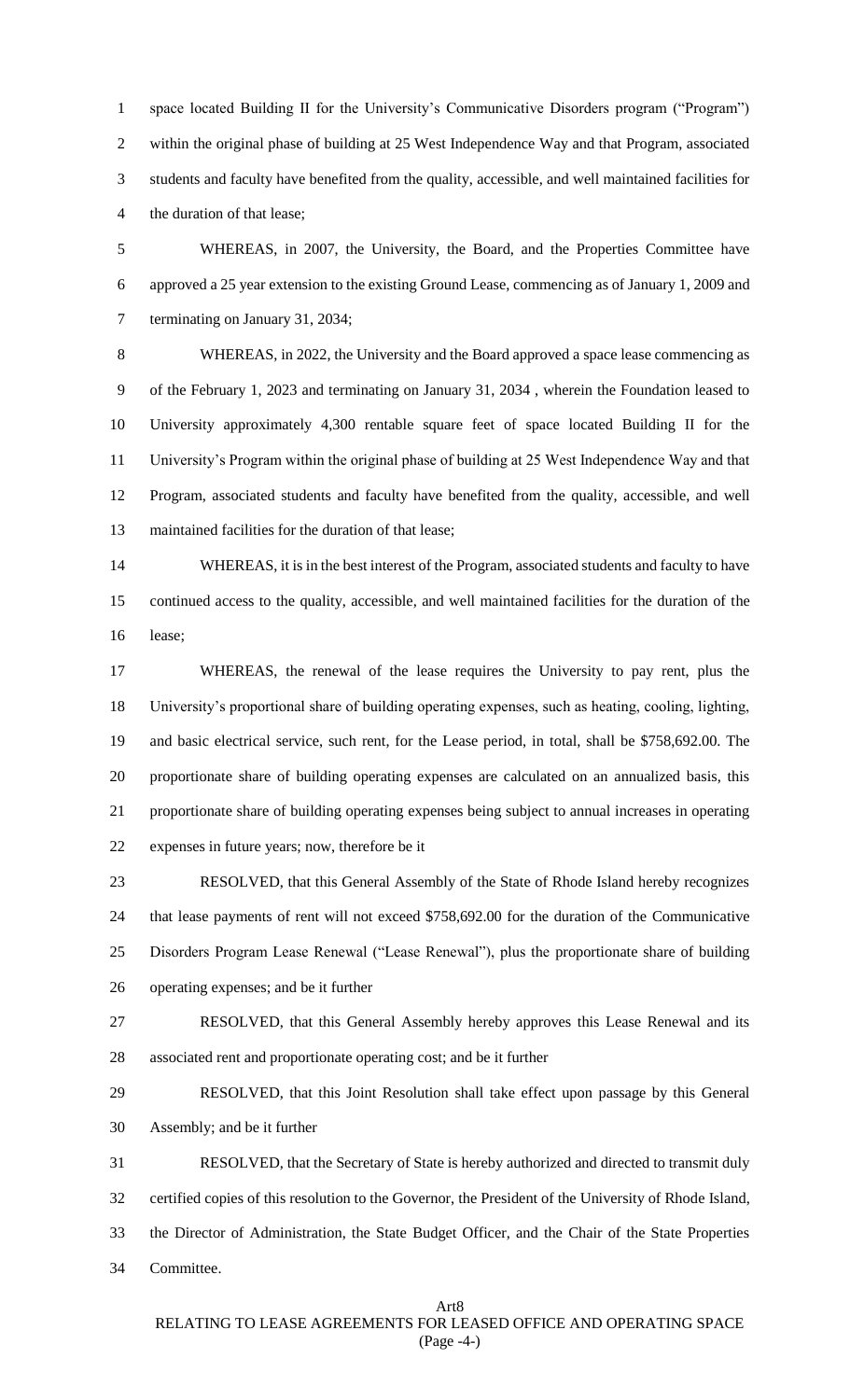space located Building II for the University's Communicative Disorders program ("Program") within the original phase of building at 25 West Independence Way and that Program, associated students and faculty have benefited from the quality, accessible, and well maintained facilities for the duration of that lease;

 WHEREAS, in 2007, the University, the Board, and the Properties Committee have approved a 25 year extension to the existing Ground Lease, commencing as of January 1, 2009 and terminating on January 31, 2034;

 WHEREAS, in 2022, the University and the Board approved a space lease commencing as of the February 1, 2023 and terminating on January 31, 2034 , wherein the Foundation leased to University approximately 4,300 rentable square feet of space located Building II for the University's Program within the original phase of building at 25 West Independence Way and that Program, associated students and faculty have benefited from the quality, accessible, and well maintained facilities for the duration of that lease;

 WHEREAS, it is in the best interest of the Program, associated students and faculty to have continued access to the quality, accessible, and well maintained facilities for the duration of the lease;

 WHEREAS, the renewal of the lease requires the University to pay rent, plus the University's proportional share of building operating expenses, such as heating, cooling, lighting, and basic electrical service, such rent, for the Lease period, in total, shall be \$758,692.00. The proportionate share of building operating expenses are calculated on an annualized basis, this proportionate share of building operating expenses being subject to annual increases in operating expenses in future years; now, therefore be it

 RESOLVED, that this General Assembly of the State of Rhode Island hereby recognizes that lease payments of rent will not exceed \$758,692.00 for the duration of the Communicative Disorders Program Lease Renewal ("Lease Renewal"), plus the proportionate share of building operating expenses; and be it further

 RESOLVED, that this General Assembly hereby approves this Lease Renewal and its associated rent and proportionate operating cost; and be it further

 RESOLVED, that this Joint Resolution shall take effect upon passage by this General Assembly; and be it further

 RESOLVED, that the Secretary of State is hereby authorized and directed to transmit duly certified copies of this resolution to the Governor, the President of the University of Rhode Island, the Director of Administration, the State Budget Officer, and the Chair of the State Properties Committee.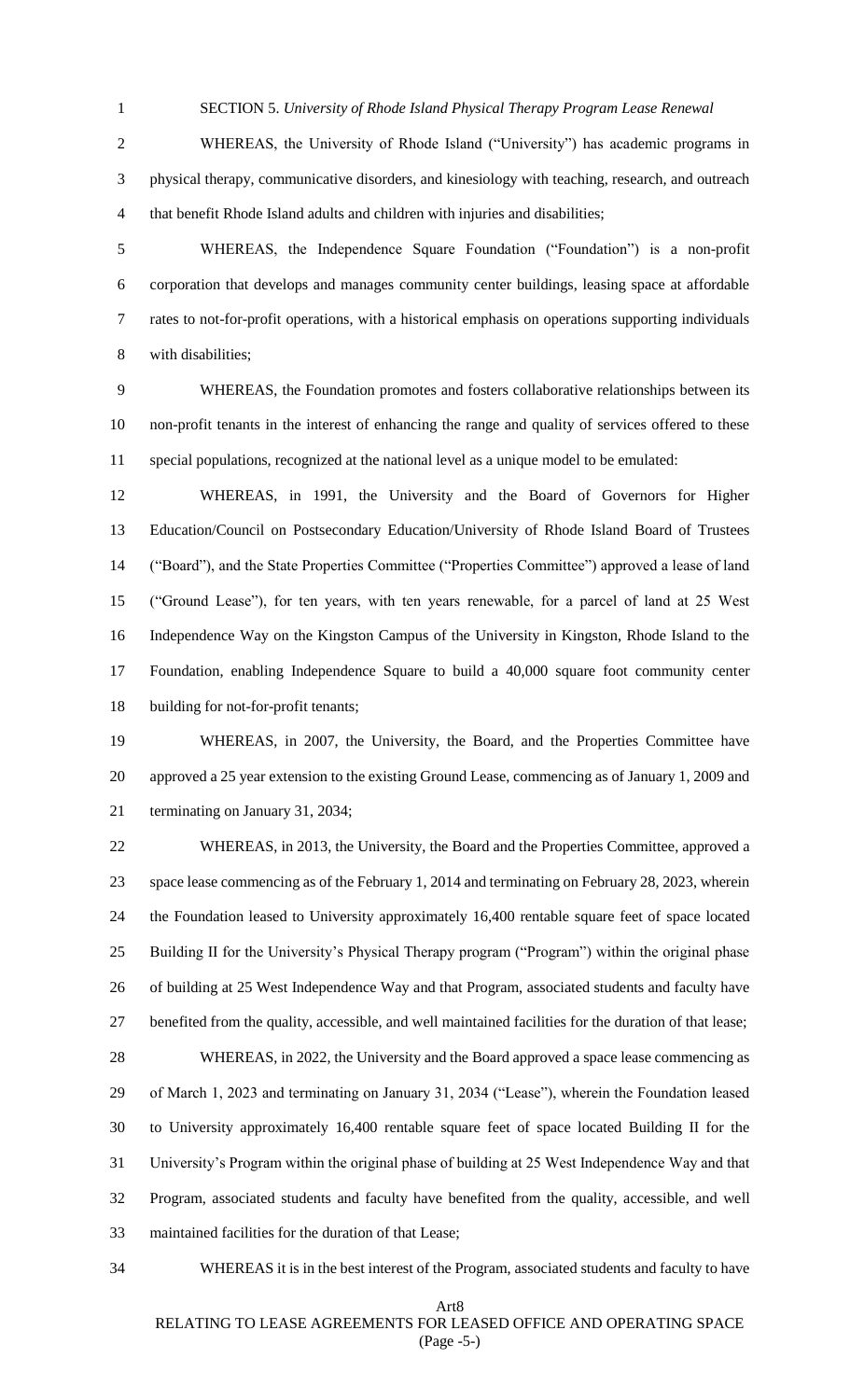SECTION 5. *University of Rhode Island Physical Therapy Program Lease Renewal*

 WHEREAS, the University of Rhode Island ("University") has academic programs in physical therapy, communicative disorders, and kinesiology with teaching, research, and outreach that benefit Rhode Island adults and children with injuries and disabilities;

 WHEREAS, the Independence Square Foundation ("Foundation") is a non-profit corporation that develops and manages community center buildings, leasing space at affordable rates to not-for-profit operations, with a historical emphasis on operations supporting individuals with disabilities;

 WHEREAS, the Foundation promotes and fosters collaborative relationships between its non-profit tenants in the interest of enhancing the range and quality of services offered to these special populations, recognized at the national level as a unique model to be emulated:

 WHEREAS, in 1991, the University and the Board of Governors for Higher Education/Council on Postsecondary Education/University of Rhode Island Board of Trustees ("Board"), and the State Properties Committee ("Properties Committee") approved a lease of land ("Ground Lease"), for ten years, with ten years renewable, for a parcel of land at 25 West Independence Way on the Kingston Campus of the University in Kingston, Rhode Island to the Foundation, enabling Independence Square to build a 40,000 square foot community center building for not-for-profit tenants;

 WHEREAS, in 2007, the University, the Board, and the Properties Committee have approved a 25 year extension to the existing Ground Lease, commencing as of January 1, 2009 and terminating on January 31, 2034;

 WHEREAS, in 2013, the University, the Board and the Properties Committee, approved a space lease commencing as of the February 1, 2014 and terminating on February 28, 2023, wherein the Foundation leased to University approximately 16,400 rentable square feet of space located Building II for the University's Physical Therapy program ("Program") within the original phase of building at 25 West Independence Way and that Program, associated students and faculty have benefited from the quality, accessible, and well maintained facilities for the duration of that lease;

 WHEREAS, in 2022, the University and the Board approved a space lease commencing as of March 1, 2023 and terminating on January 31, 2034 ("Lease"), wherein the Foundation leased to University approximately 16,400 rentable square feet of space located Building II for the University's Program within the original phase of building at 25 West Independence Way and that Program, associated students and faculty have benefited from the quality, accessible, and well maintained facilities for the duration of that Lease;

WHEREAS it is in the best interest of the Program, associated students and faculty to have

Art8

RELATING TO LEASE AGREEMENTS FOR LEASED OFFICE AND OPERATING SPACE (Page -5-)